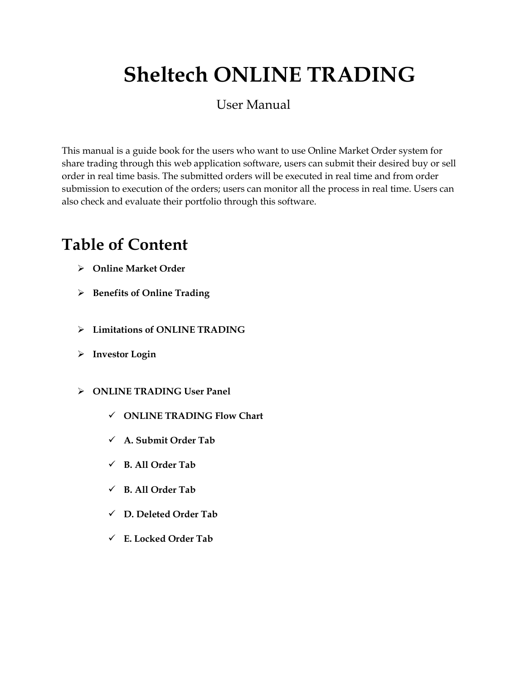# **Sheltech ONLINE TRADING**

### User Manual

This manual is a guide book for the users who want to use Online Market Order system for share trading through this web application software, users can submit their desired buy or sell order in real time basis. The submitted orders will be executed in real time and from order submission to execution of the orders; users can monitor all the process in real time. Users can also check and evaluate their portfolio through this software.

## **Table of Content**

- **Online Market Order**
- **Benefits of Online Trading**
- **Limitations of ONLINE TRADING**
- **Investor Login**
- **ONLINE TRADING User Panel**
	- **ONLINE TRADING Flow Chart**
	- **A. Submit Order Tab**
	- **B. All Order Tab**
	- **B. All Order Tab**
	- **D. Deleted Order Tab**
	- **E. Locked Order Tab**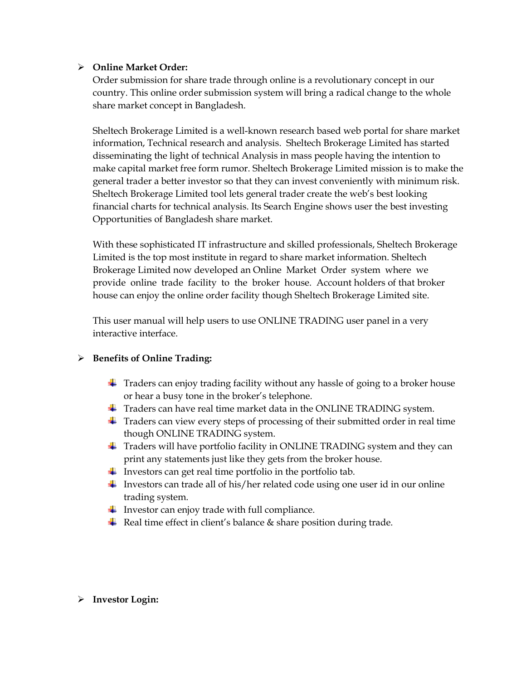#### **Online Market Order:**

Order submission for share trade through online is a revolutionary concept in our country. This online order submission system will bring a radical change to the whole share market concept in Bangladesh.

Sheltech Brokerage Limited is a well-known research based web portal for share market information, Technical research and analysis. Sheltech Brokerage Limited has started disseminating the light of technical Analysis in mass people having the intention to make capital market free form rumor. Sheltech Brokerage Limited mission is to make the general trader a better investor so that they can invest conveniently with minimum risk. Sheltech Brokerage Limited tool lets general trader create the web's best looking financial charts for technical analysis. Its Search Engine shows user the best investing Opportunities of Bangladesh share market.

With these sophisticated IT infrastructure and skilled professionals, Sheltech Brokerage Limited is the top most institute in regard to share market information. Sheltech Brokerage Limited now developed an Online Market Order system where we provide online trade facility to the broker house. Account holders of that broker house can enjoy the online order facility though Sheltech Brokerage Limited site.

This user manual will help users to use ONLINE TRADING user panel in a very interactive interface.

#### **Benefits of Online Trading:**

- **Traders can enjoy trading facility without any hassle of going to a broker house** or hear a busy tone in the broker's telephone.
- $\overline{\phantom{a}}$  Traders can have real time market data in the ONLINE TRADING system.
- $\ddot{\phantom{1}}$  Traders can view every steps of processing of their submitted order in real time though ONLINE TRADING system.
- $\ddot{\bullet}$  Traders will have portfolio facility in ONLINE TRADING system and they can print any statements just like they gets from the broker house.
- Investors can get real time portfolio in the portfolio tab.
- Investors can trade all of his/her related code using one user id in our online trading system.
- $\ddot{\phantom{1}}$  Investor can enjoy trade with full compliance.
- Real time effect in client's balance  $&$  share position during trade.

#### **Investor Login:**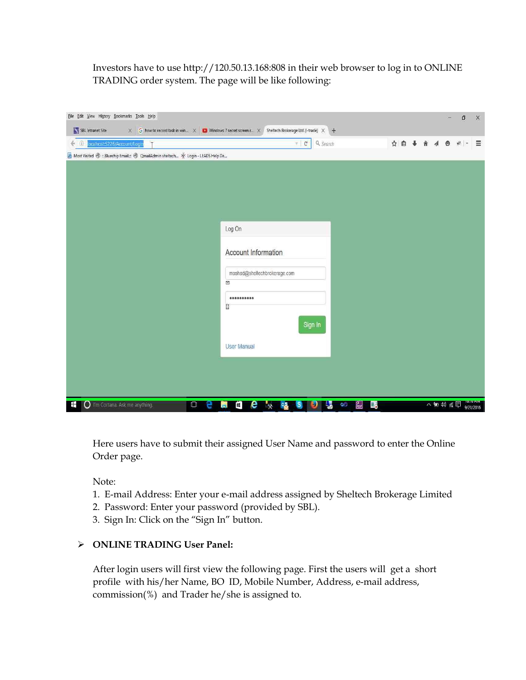Investors have to use http://120.50.13.168:808 in their web browser to log in to ONLINE TRADING order system. The page will be like following:

| localhost:5226/Account/Login<br>$\bigcirc$                                          | $F$ $C$                                                                  | Q Search                                    | ☆自→ 食 イ |  | $\bullet$ | 梁         | $\equiv$           |
|-------------------------------------------------------------------------------------|--------------------------------------------------------------------------|---------------------------------------------|---------|--|-----------|-----------|--------------------|
| A Most Visited @ ::.Bluechip Email.:: @ QmailAdmin sheltech * Login - LEADS Help De |                                                                          |                                             |         |  |           |           |                    |
|                                                                                     |                                                                          |                                             |         |  |           |           |                    |
|                                                                                     |                                                                          |                                             |         |  |           |           |                    |
|                                                                                     |                                                                          |                                             |         |  |           |           |                    |
|                                                                                     |                                                                          |                                             |         |  |           |           |                    |
|                                                                                     |                                                                          |                                             |         |  |           |           |                    |
|                                                                                     | Log On                                                                   |                                             |         |  |           |           |                    |
|                                                                                     |                                                                          |                                             |         |  |           |           |                    |
|                                                                                     | Account Information                                                      |                                             |         |  |           |           |                    |
|                                                                                     | moshad@sheltechbrokerage.com                                             |                                             |         |  |           |           |                    |
|                                                                                     | $\boxtimes$                                                              |                                             |         |  |           |           |                    |
|                                                                                     |                                                                          |                                             |         |  |           |           |                    |
|                                                                                     | 闘                                                                        |                                             |         |  |           |           |                    |
|                                                                                     |                                                                          |                                             |         |  |           |           |                    |
|                                                                                     | Sign In                                                                  |                                             |         |  |           |           |                    |
|                                                                                     | <b>User Manual</b>                                                       |                                             |         |  |           |           |                    |
|                                                                                     |                                                                          |                                             |         |  |           |           |                    |
|                                                                                     |                                                                          |                                             |         |  |           |           |                    |
|                                                                                     |                                                                          |                                             |         |  |           |           |                    |
|                                                                                     |                                                                          |                                             |         |  |           |           |                    |
| O I'm Cortana. Ask me anything.<br>$\Box$<br>H                                      | e<br>Q<br>$\frac{1}{2}$<br>e<br>S.<br>$\rightarrow$<br>IJ<br><b>Ford</b> | 御<br>$\Box_6$<br><b>QG</b><br>$\frac{1}{2}$ |         |  | 入雪空前侧     | 9/21/2016 | <b>TUFTU FIIVI</b> |

Here users have to submit their assigned User Name and password to enter the Online Order page.

Note:

- 1. E-mail Address: Enter your e-mail address assigned by Sheltech Brokerage Limited
- 2. Password: Enter your password (provided by SBL).
- 3. Sign In: Click on the "Sign In" button.

#### **ONLINE TRADING User Panel:**

After login users will first view the following page. First the users will get a short profile with his/her Name, BO ID, Mobile Number, Address, e-mail address, commission(%) and Trader he/she is assigned to.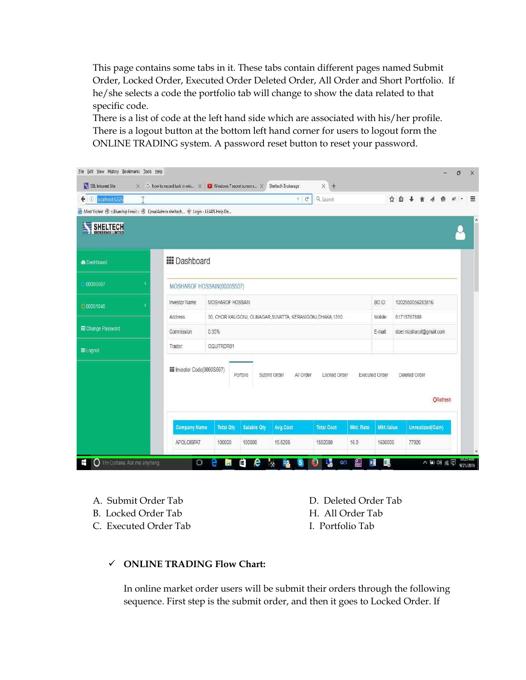This page contains some tabs in it. These tabs contain different pages named Submit Order, Locked Order, Executed Order Deleted Order, All Order and Short Portfolio. If he/she selects a code the portfolio tab will change to show the data related to that specific code.

There is a list of code at the left hand side which are associated with his/her profile. There is a logout button at the bottom left hand corner for users to logout form the ONLINE TRADING system. A password reset button to reset your password.

| <b>D</b> localhost:5226<br>€                                                        |                             |                            |                    | C<br>v.                                                        | Q Search          |                       |                  | ☆ 自 |                         |                  |          |  |
|-------------------------------------------------------------------------------------|-----------------------------|----------------------------|--------------------|----------------------------------------------------------------|-------------------|-----------------------|------------------|-----|-------------------------|------------------|----------|--|
| A Most Visited @ ::.Bluechip Email.:: @ QmailAdmin sheltech * Login - LEADS Help De |                             |                            |                    |                                                                |                   |                       |                  |     |                         |                  |          |  |
| SHELTECH                                                                            |                             |                            |                    |                                                                |                   |                       |                  |     |                         |                  |          |  |
| <b>&amp;</b> Dashboard                                                              | <b>III</b> Dashboard        |                            |                    |                                                                |                   |                       |                  |     |                         |                  |          |  |
| 0000S507                                                                            |                             | MOSHAROF HOSSAIN(0000S507) |                    |                                                                |                   |                       |                  |     |                         |                  |          |  |
| O 000S1040                                                                          | Investor Name:              | MOSHAROF HOSSAIN           |                    |                                                                |                   |                       | BO ID:           |     | 1202550056283816        |                  |          |  |
|                                                                                     | Address:                    |                            |                    | 30, CHOR KALIGONJ, OLINAGAR, SUVATTA, KERANIGONJ, DHAKA, 1310. |                   |                       | Mobile:          |     | 01715767888             |                  |          |  |
| <b>EE</b> Change Password                                                           | Commission                  | 0.35%                      |                    |                                                                |                   |                       | E-mail:          |     | doel.mosharof@gmail.com |                  |          |  |
| <b>田Logout</b>                                                                      | Trader:                     | GQUITRDR01                 |                    |                                                                |                   |                       |                  |     |                         |                  |          |  |
|                                                                                     | III Investor Code(0000S507) |                            | Portolio           | Submit Order<br>All Order                                      | Locked Order      | <b>Executed Order</b> |                  |     | Deleted Order           |                  | ORefresh |  |
|                                                                                     | <b>Company Name</b>         | <b>Total Oty</b>           | <b>Salable Oty</b> | <b>Avg.Cost</b>                                                | <b>Total Cost</b> | <b>Mkt. Rate</b>      | <b>Mkt.Value</b> |     |                         | Unrealized(Gain) |          |  |
|                                                                                     | APOLOISPAT                  | 100000                     | 100000             | 15.5208                                                        | 1552080           | 16.3                  | 1630000          |     | 77920                   |                  |          |  |

- B. Locked Order Tab H. All Order Tab
- C. Executed Order Tab I. Portfolio Tab
- A. Submit Order Tab D. Deleted Order Tab

#### **ONLINE TRADING Flow Chart:**

In online market order users will be submit their orders through the following sequence. First step is the submit order, and then it goes to Locked Order. If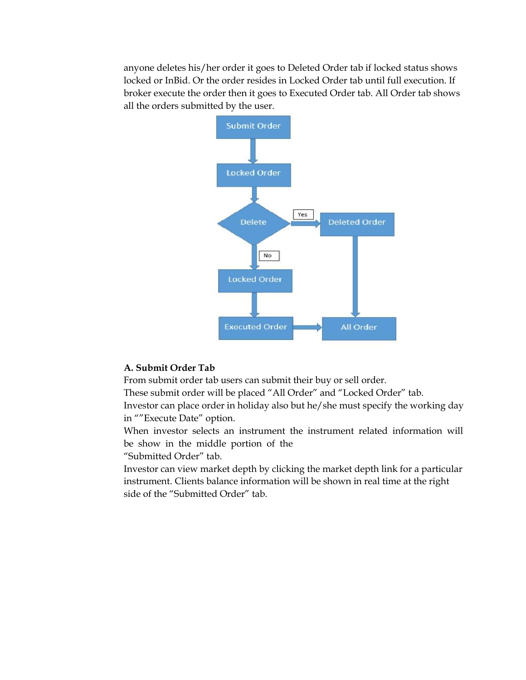anyone deletes his/her order it goes to Deleted Order tab if locked status shows locked or InBid. Or the order resides in Locked Order tab until full execution. If broker execute the order then it goes to Executed Order tab. All Order tab shows all the orders submitted by the user.



#### **A. Submit Order Tab**

From submit order tab users can submit their buy or sell order.

These submit order will be placed "All Order" and "Locked Order" tab.

Investor can place order in holiday also but he/she must specify the working day in ""Execute Date" option.

When investor selects an instrument the instrument related information will be show in the middle portion of the

"Submitted Order" tab.

Investor can view market depth by clicking the market depth link for a particular instrument. Clients balance information will be shown in real time at the right side of the "Submitted Order" tab.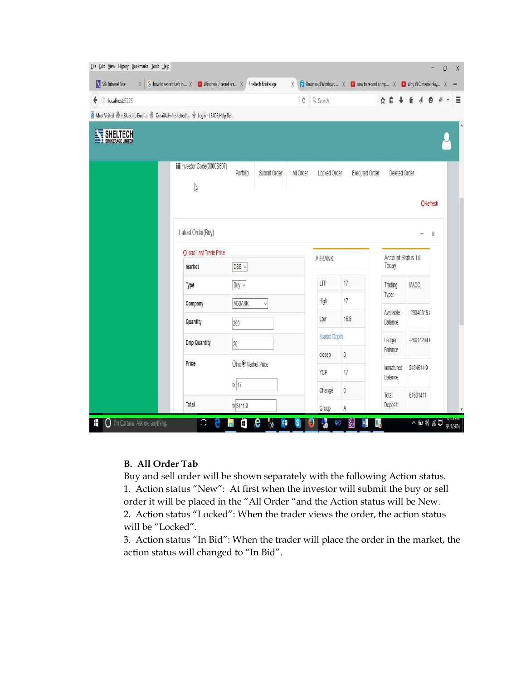| SBL Intranet Site         | $\times$ G how to record task in $\times$ C Windows 7 secret scr $\times$ Sheltech Brokerage | $\times$                 | Download Windows  X   D how to record comp X   D Why VLC media play X |                       |                              |               |  |
|---------------------------|----------------------------------------------------------------------------------------------|--------------------------|-----------------------------------------------------------------------|-----------------------|------------------------------|---------------|--|
| $\bigodot$ localhost:5226 |                                                                                              |                          | $C^1$ Q Search                                                        |                       | ☆自→                          |               |  |
|                           | A Most Visited @ Bluechip Email.: @ QmailAdmin sheltech * Login - LEADS Help De              |                          |                                                                       |                       |                              |               |  |
| SHELTECH                  |                                                                                              |                          |                                                                       |                       |                              |               |  |
|                           | III Investor Code(0000S507)<br>$\sqrt{2}$                                                    | Porfolio<br>Submit Order | All Order<br>Locked Order                                             | <b>Executed Order</b> | Deleted Order                | ORefresh      |  |
|                           | Latest Order(Buy)<br><b>OLoad Last Trade Price</b>                                           |                          |                                                                       |                       |                              | x             |  |
|                           | market                                                                                       | DSE v                    | ABBANK                                                                |                       | Account Status Till<br>Today |               |  |
|                           | Type                                                                                         | Buy $\vee$               | LTP                                                                   | 17                    | Trading                      | <b>MACC</b>   |  |
|                           | Company                                                                                      | ABBANK<br>v              | High                                                                  | 17                    | Type:                        |               |  |
|                           |                                                                                              |                          |                                                                       |                       | Available                    | $-29048819!$  |  |
|                           | Quantity                                                                                     | 200                      | Low                                                                   | 16.8                  | Balance:                     |               |  |
|                           | <b>Drip Quantity</b>                                                                         | $20\,$                   | Market Depth                                                          |                       | Ledger                       | $-26614204.0$ |  |
|                           |                                                                                              |                          | closep                                                                | $\overline{0}$        | Balance:                     |               |  |
|                           | Price                                                                                        | OFix ® Market Price      | YCP                                                                   | 17                    | Immatured<br>Balance:        | 2434614.9     |  |
|                           |                                                                                              | tk 17                    | Change                                                                | 0                     | Total                        | 61631411      |  |

#### **B. All Order Tab**

Buy and sell order will be shown separately with the following Action status. 1. Action status "New": At first when the investor will submit the buy or sell order it will be placed in the "All Order "and the Action status will be New. 2. Action status "Locked": When the trader views the order, the action status will be "Locked".

3. Action status "In Bid": When the trader will place the order in the market, the action status will changed to "In Bid".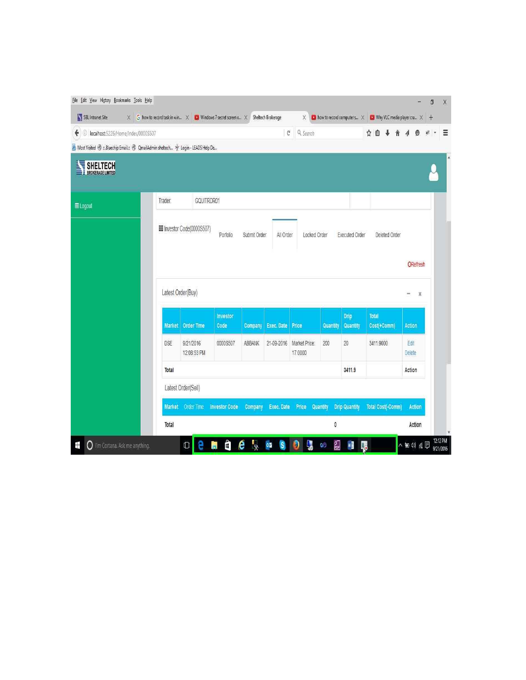| A Most Visited @ ::.Bluechip Email.:: @ QmailAdmin sheltech * Login - LEADS Help De<br>GQUITRDR01<br>Trader.<br>III Investor Code(0000S507)<br>All Order<br>Porfolio<br>Submit Order<br>Locked Order<br><b>Executed Order</b><br>Deleted Order<br>ORefresh<br>Latest Order(Buy)<br>x<br>Drip<br><b>Total</b><br>Investor<br><b>Order Time</b><br>Code<br><b>Exec. Date</b><br>Quantity<br>Cost(+Comm)<br><b>Market</b><br>Company<br>Price<br><b>Quantity</b><br><b>Action</b><br>20<br>DSE<br>9/21/2016<br>0000S507<br>ABBANK<br>21-09-2016<br>Market Price:<br>200<br>3411.9000<br>Edit<br>12:08:53 PM<br>17,0000<br>Delete<br>3411.9<br>Total<br>Action<br>Latest Order(Sell)<br><b>Drip Quantity</b><br>Market Order Time<br><b>Investor Code</b><br>Exec. Date Price<br><b>Total Cost(-Comm)</b><br><b>Action</b><br><b>Company</b><br>Quantity | $\bigodot$ localhost:5226/Home/Index/00005507    |  |  | G, | Q Search |  | ☆ 自 |  |  |
|------------------------------------------------------------------------------------------------------------------------------------------------------------------------------------------------------------------------------------------------------------------------------------------------------------------------------------------------------------------------------------------------------------------------------------------------------------------------------------------------------------------------------------------------------------------------------------------------------------------------------------------------------------------------------------------------------------------------------------------------------------------------------------------------------------------------------------------------------|--------------------------------------------------|--|--|----|----------|--|-----|--|--|
|                                                                                                                                                                                                                                                                                                                                                                                                                                                                                                                                                                                                                                                                                                                                                                                                                                                      |                                                  |  |  |    |          |  |     |  |  |
| <b>田 Logout</b>                                                                                                                                                                                                                                                                                                                                                                                                                                                                                                                                                                                                                                                                                                                                                                                                                                      | <b>SHELTECH</b><br>玉<br><b>BROKERAGE LIMITED</b> |  |  |    |          |  |     |  |  |
|                                                                                                                                                                                                                                                                                                                                                                                                                                                                                                                                                                                                                                                                                                                                                                                                                                                      |                                                  |  |  |    |          |  |     |  |  |
|                                                                                                                                                                                                                                                                                                                                                                                                                                                                                                                                                                                                                                                                                                                                                                                                                                                      |                                                  |  |  |    |          |  |     |  |  |
|                                                                                                                                                                                                                                                                                                                                                                                                                                                                                                                                                                                                                                                                                                                                                                                                                                                      |                                                  |  |  |    |          |  |     |  |  |
|                                                                                                                                                                                                                                                                                                                                                                                                                                                                                                                                                                                                                                                                                                                                                                                                                                                      |                                                  |  |  |    |          |  |     |  |  |
|                                                                                                                                                                                                                                                                                                                                                                                                                                                                                                                                                                                                                                                                                                                                                                                                                                                      |                                                  |  |  |    |          |  |     |  |  |
|                                                                                                                                                                                                                                                                                                                                                                                                                                                                                                                                                                                                                                                                                                                                                                                                                                                      |                                                  |  |  |    |          |  |     |  |  |
|                                                                                                                                                                                                                                                                                                                                                                                                                                                                                                                                                                                                                                                                                                                                                                                                                                                      |                                                  |  |  |    |          |  |     |  |  |